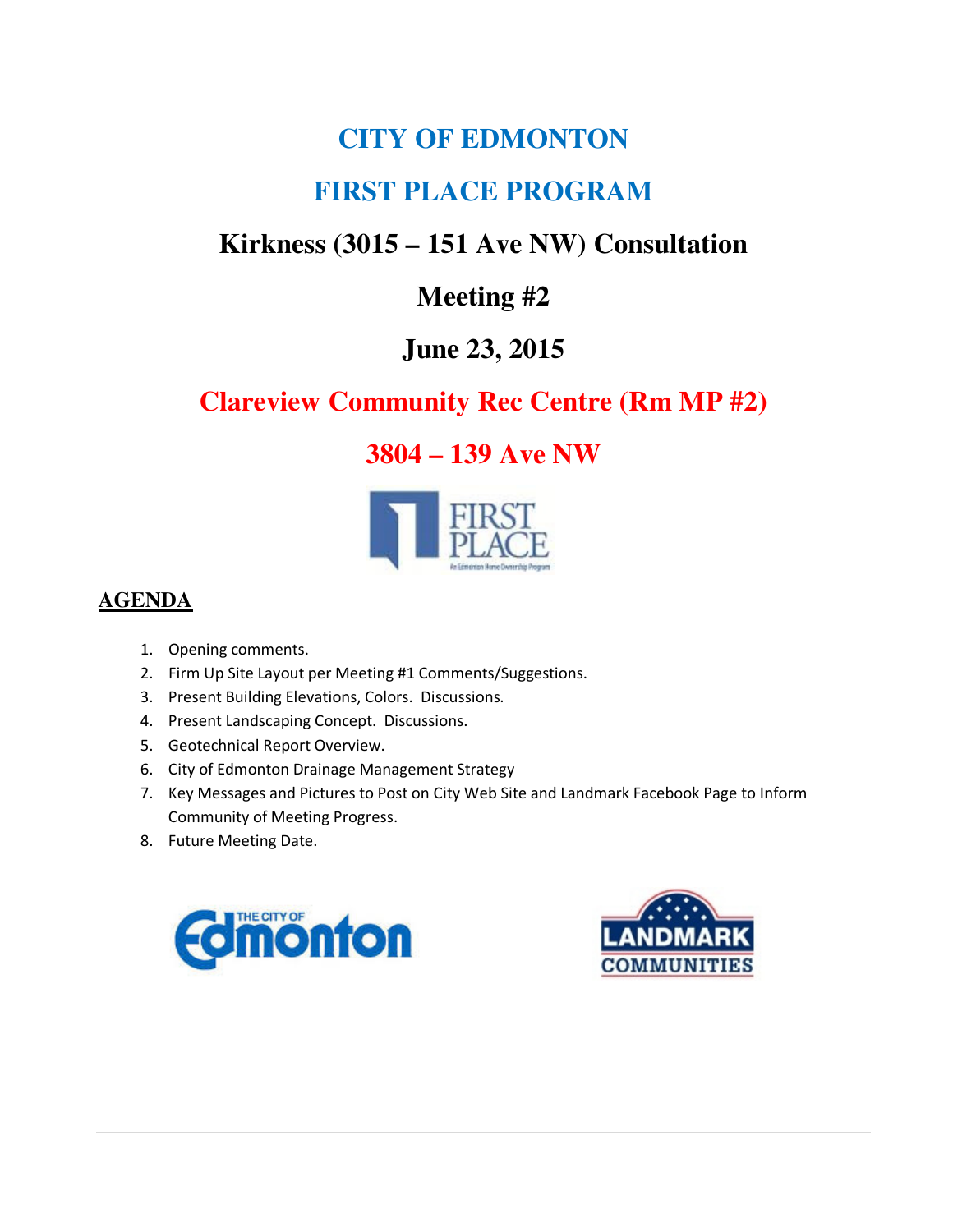# **CITY OF EDMONTON**

# **FIRST PLACE PROGRAM**

# **Kirkness (3015 – 151 Ave NW) Consultation**

## **Meeting #2**

## **June 23, 2015**

# **Clareview Community Rec Centre (Rm MP #2)**

### **3804 – 139 Ave NW**



### **AGENDA**

- 1. Opening comments.
- 2. Firm Up Site Layout per Meeting #1 Comments/Suggestions.
- 3. Present Building Elevations, Colors. Discussions.
- 4. Present Landscaping Concept. Discussions.
- 5. Geotechnical Report Overview.
- 6. City of Edmonton Drainage Management Strategy
- 7. Key Messages and Pictures to Post on City Web Site and Landmark Facebook Page to Inform Community of Meeting Progress.
- 8. Future Meeting Date.



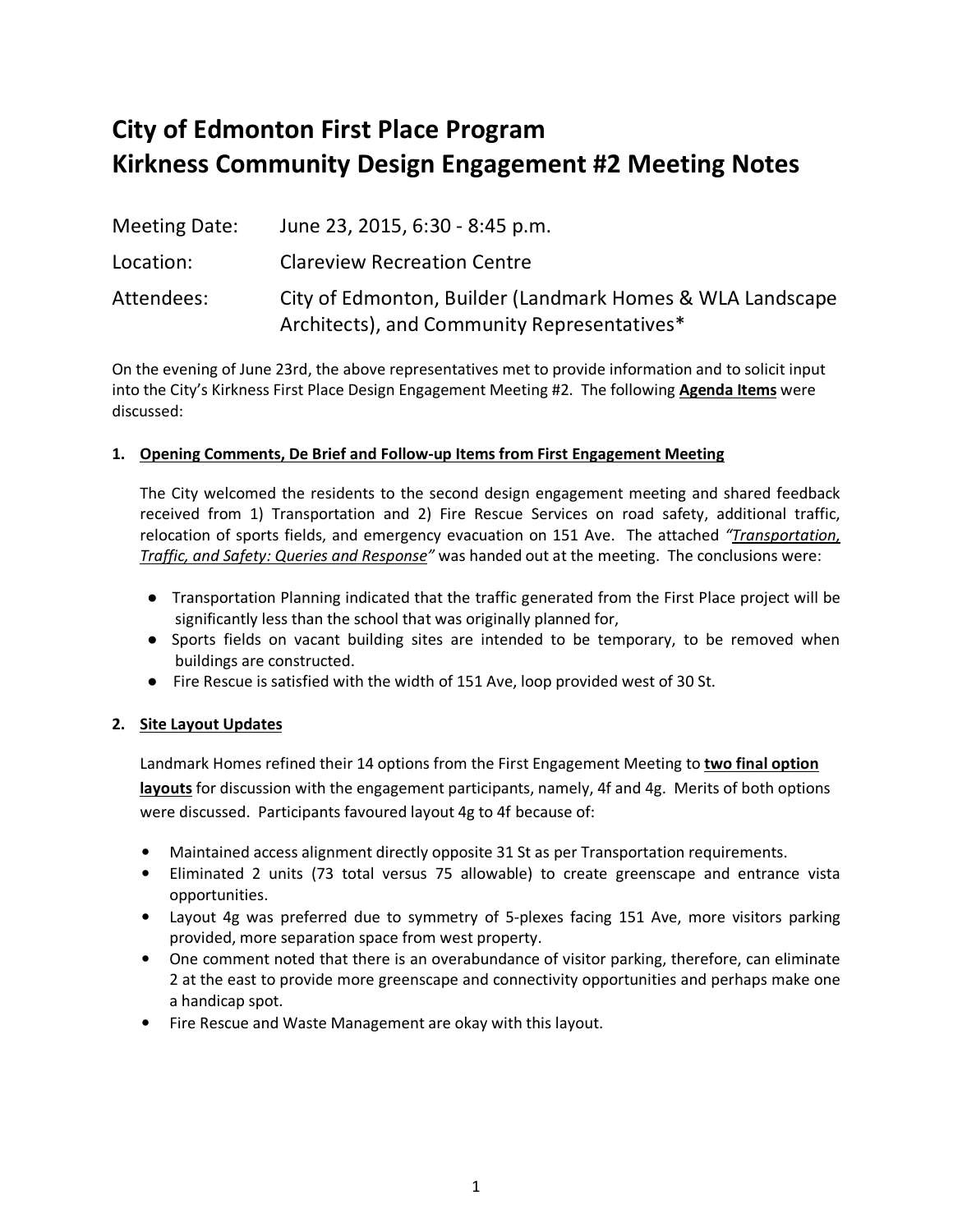# **City of Edmonton First Place Program Kirkness Community Design Engagement #2 Meeting Notes**

| Meeting Date: | June 23, 2015, 6:30 - 8:45 p.m.                                                                          |
|---------------|----------------------------------------------------------------------------------------------------------|
| Location:     | <b>Clareview Recreation Centre</b>                                                                       |
| Attendees:    | City of Edmonton, Builder (Landmark Homes & WLA Landscape<br>Architects), and Community Representatives* |

On the evening of June 23rd, the above representatives met to provide information and to solicit input into the City's Kirkness First Place Design Engagement Meeting #2. The following **Agenda Items** were discussed:

#### **1. Opening Comments, De Brief and Follow-up Items from First Engagement Meeting**

The City welcomed the residents to the second design engagement meeting and shared feedback received from 1) Transportation and 2) Fire Rescue Services on road safety, additional traffic, relocation of sports fields, and emergency evacuation on 151 Ave. The attached *"Transportation, Traffic, and Safety: Queries and Response"* was handed out at the meeting. The conclusions were:

- Transportation Planning indicated that the traffic generated from the First Place project will be significantly less than the school that was originally planned for,
- Sports fields on vacant building sites are intended to be temporary, to be removed when buildings are constructed.
- Fire Rescue is satisfied with the width of 151 Ave, loop provided west of 30 St.

#### **2. Site Layout Updates**

Landmark Homes refined their 14 options from the First Engagement Meeting to **two final option layouts** for discussion with the engagement participants, namely, 4f and 4g. Merits of both options were discussed. Participants favoured layout 4g to 4f because of:

- Maintained access alignment directly opposite 31 St as per Transportation requirements.
- Eliminated 2 units (73 total versus 75 allowable) to create greenscape and entrance vista opportunities.
- Layout 4g was preferred due to symmetry of 5-plexes facing 151 Ave, more visitors parking provided, more separation space from west property.
- One comment noted that there is an overabundance of visitor parking, therefore, can eliminate 2 at the east to provide more greenscape and connectivity opportunities and perhaps make one a handicap spot.
- Fire Rescue and Waste Management are okay with this layout.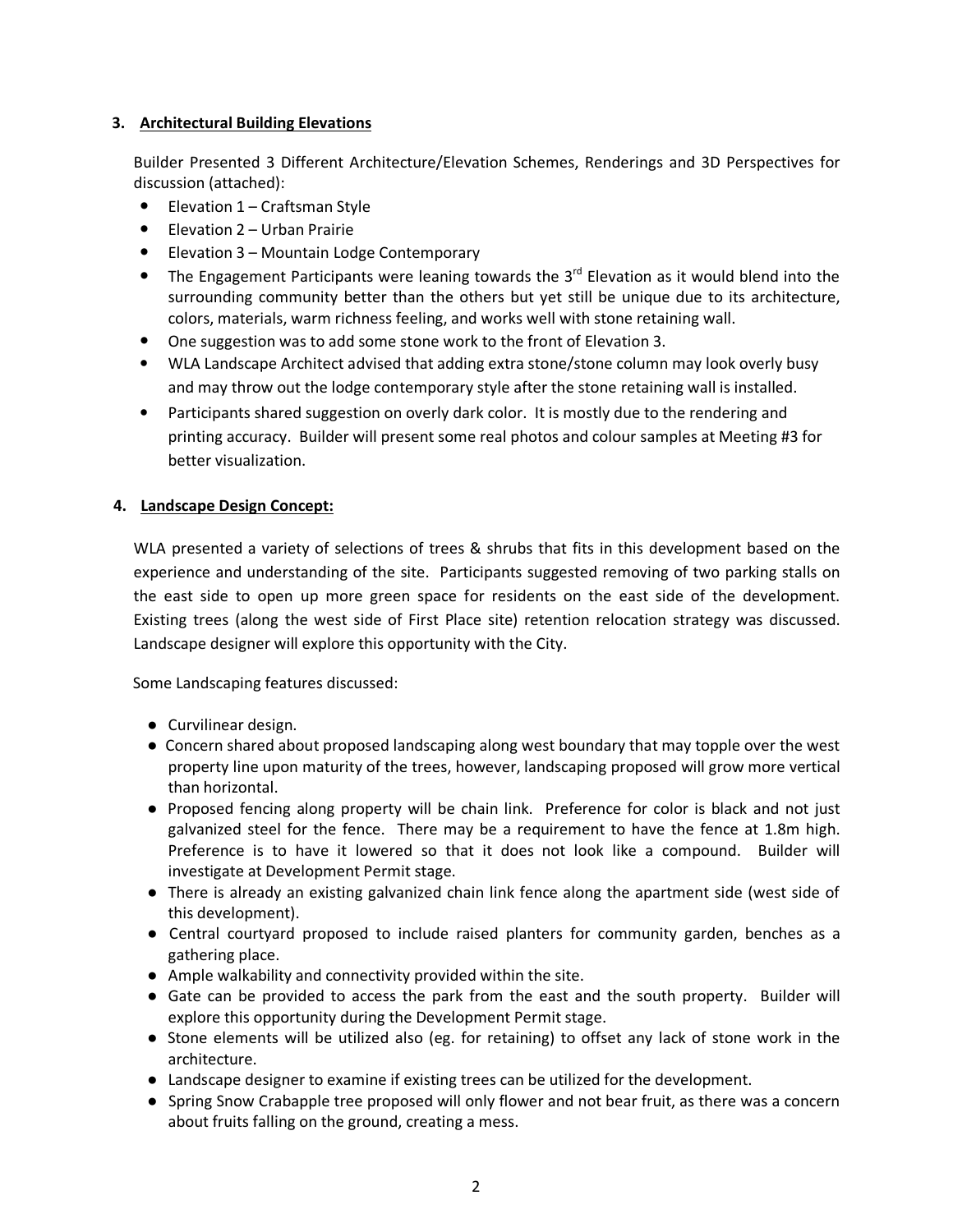#### **3. Architectural Building Elevations**

Builder Presented 3 Different Architecture/Elevation Schemes, Renderings and 3D Perspectives for discussion (attached):

- Elevation 1 Craftsman Style
- Elevation 2 Urban Prairie
- Elevation 3 Mountain Lodge Contemporary
- The Engagement Participants were leaning towards the  $3<sup>rd</sup>$  Elevation as it would blend into the surrounding community better than the others but yet still be unique due to its architecture, colors, materials, warm richness feeling, and works well with stone retaining wall.
- One suggestion was to add some stone work to the front of Elevation 3.
- WLA Landscape Architect advised that adding extra stone/stone column may look overly busy and may throw out the lodge contemporary style after the stone retaining wall is installed.
- Participants shared suggestion on overly dark color. It is mostly due to the rendering and printing accuracy. Builder will present some real photos and colour samples at Meeting #3 for better visualization.

#### **4. Landscape Design Concept:**

WLA presented a variety of selections of trees & shrubs that fits in this development based on the experience and understanding of the site. Participants suggested removing of two parking stalls on the east side to open up more green space for residents on the east side of the development. Existing trees (along the west side of First Place site) retention relocation strategy was discussed. Landscape designer will explore this opportunity with the City.

#### Some Landscaping features discussed:

- Curvilinear design.
- Concern shared about proposed landscaping along west boundary that may topple over the west property line upon maturity of the trees, however, landscaping proposed will grow more vertical than horizontal.
- Proposed fencing along property will be chain link. Preference for color is black and not just galvanized steel for the fence. There may be a requirement to have the fence at 1.8m high. Preference is to have it lowered so that it does not look like a compound. Builder will investigate at Development Permit stage.
- There is already an existing galvanized chain link fence along the apartment side (west side of this development).
- Central courtyard proposed to include raised planters for community garden, benches as a gathering place.
- Ample walkability and connectivity provided within the site.
- Gate can be provided to access the park from the east and the south property. Builder will explore this opportunity during the Development Permit stage.
- Stone elements will be utilized also (eg. for retaining) to offset any lack of stone work in the architecture.
- Landscape designer to examine if existing trees can be utilized for the development.
- Spring Snow Crabapple tree proposed will only flower and not bear fruit, as there was a concern about fruits falling on the ground, creating a mess.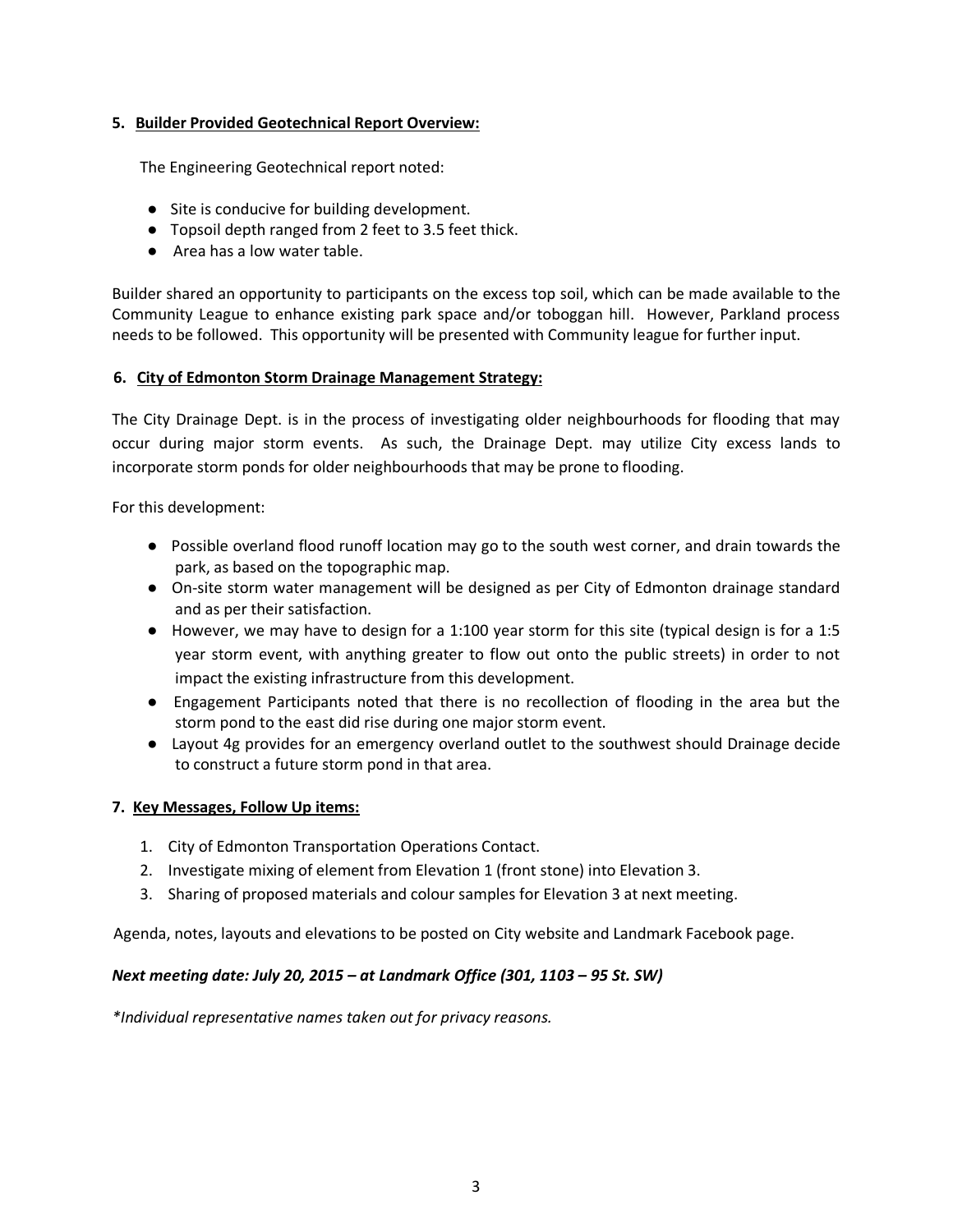#### **5. Builder Provided Geotechnical Report Overview:**

The Engineering Geotechnical report noted:

- Site is conducive for building development.
- Topsoil depth ranged from 2 feet to 3.5 feet thick.
- Area has a low water table.

Builder shared an opportunity to participants on the excess top soil, which can be made available to the Community League to enhance existing park space and/or toboggan hill. However, Parkland process needs to be followed. This opportunity will be presented with Community league for further input.

#### **6. City of Edmonton Storm Drainage Management Strategy:**

The City Drainage Dept. is in the process of investigating older neighbourhoods for flooding that may occur during major storm events. As such, the Drainage Dept. may utilize City excess lands to incorporate storm ponds for older neighbourhoods that may be prone to flooding.

For this development:

- Possible overland flood runoff location may go to the south west corner, and drain towards the park, as based on the topographic map.
- On-site storm water management will be designed as per City of Edmonton drainage standard and as per their satisfaction.
- However, we may have to design for a 1:100 year storm for this site (typical design is for a 1:5 year storm event, with anything greater to flow out onto the public streets) in order to not impact the existing infrastructure from this development.
- Engagement Participants noted that there is no recollection of flooding in the area but the storm pond to the east did rise during one major storm event.
- Layout 4g provides for an emergency overland outlet to the southwest should Drainage decide to construct a future storm pond in that area.

#### **7. Key Messages, Follow Up items:**

- 1. City of Edmonton Transportation Operations Contact.
- 2. Investigate mixing of element from Elevation 1 (front stone) into Elevation 3.
- 3. Sharing of proposed materials and colour samples for Elevation 3 at next meeting.

Agenda, notes, layouts and elevations to be posted on City website and Landmark Facebook page.

#### *Next meeting date: July 20, 2015 – at Landmark Office (301, 1103 – 95 St. SW)*

*\*Individual representative names taken out for privacy reasons.*